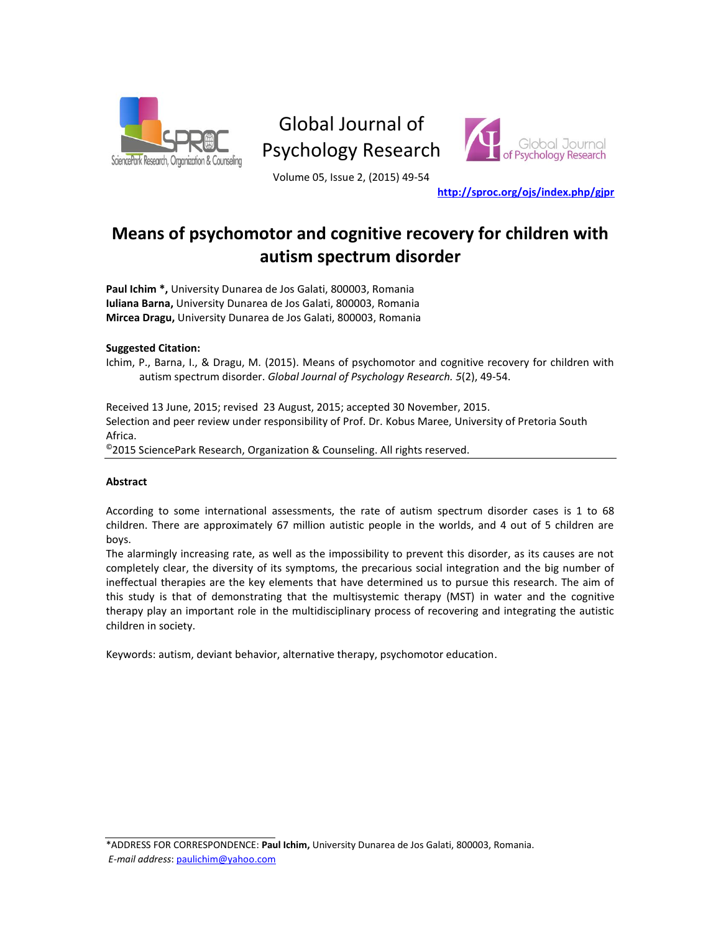

# Global Journal of Psychology Research



Volume 05, Issue 2, (2015) 49-54

**<http://sproc.org/ojs/index.php/gjpr>**

# **Means of psychomotor and cognitive recovery for children with autism spectrum disorder**

**Paul Ichim \*,** University Dunarea de Jos Galati, 800003, Romania **Iuliana Barna,** University Dunarea de Jos Galati, 800003, Romania **Mircea Dragu,** University Dunarea de Jos Galati, 800003, Romania

#### **Suggested Citation:**

Ichim, P., Barna, I., & Dragu, M. (2015). Means of psychomotor and cognitive recovery for children with autism spectrum disorder. *Global Journal of Psychology Research. 5*(2), 49-54.

Received 13 June, 2015; revised 23 August, 2015; accepted 30 November, 2015. Selection and peer review under responsibility of Prof. Dr. Kobus Maree, University of Pretoria South Africa. ©2015 SciencePark Research, Organization & Counseling. All rights reserved.

#### **Abstract**

According to some international assessments, the rate of autism spectrum disorder cases is 1 to 68 children. There are approximately 67 million autistic people in the worlds, and 4 out of 5 children are boys.

The alarmingly increasing rate, as well as the impossibility to prevent this disorder, as its causes are not completely clear, the diversity of its symptoms, the precarious social integration and the big number of ineffectual therapies are the key elements that have determined us to pursue this research. The aim of this study is that of demonstrating that the multisystemic therapy (MST) in water and the cognitive therapy play an important role in the multidisciplinary process of recovering and integrating the autistic children in society.

Keywords: autism, deviant behavior, alternative therapy, psychomotor education.

\*ADDRESS FOR CORRESPONDENCE: **Paul Ichim,** University Dunarea de Jos Galati, 800003, Romania. *E-mail address*: [paulichim@yahoo.com](mailto:paulichim@yahoo.com)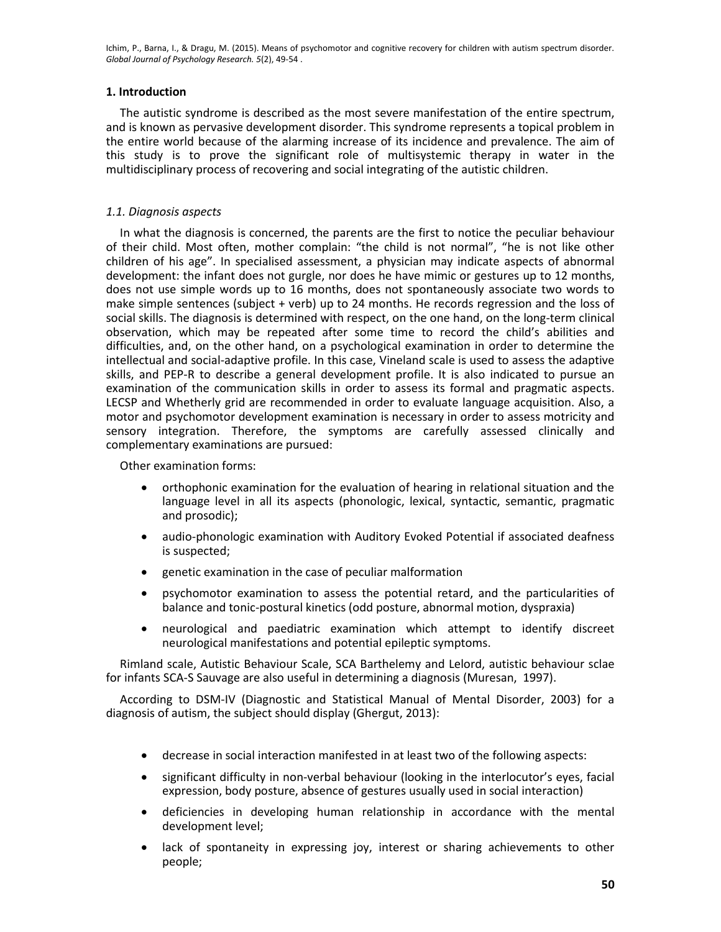Ichim, P., Barna, I., & Dragu, M. (2015). Means of psychomotor and cognitive recovery for children with autism spectrum disorder. *Global Journal of Psychology Research. 5*(2), 49-54 .

# **1. Introduction**

The autistic syndrome is described as the most severe manifestation of the entire spectrum, and is known as pervasive development disorder. This syndrome represents a topical problem in the entire world because of the alarming increase of its incidence and prevalence. The aim of this study is to prove the significant role of multisystemic therapy in water in the multidisciplinary process of recovering and social integrating of the autistic children.

# *1.1. Diagnosis aspects*

In what the diagnosis is concerned, the parents are the first to notice the peculiar behaviour of their child. Most often, mother complain: "the child is not normal", "he is not like other children of his age". In specialised assessment, a physician may indicate aspects of abnormal development: the infant does not gurgle, nor does he have mimic or gestures up to 12 months, does not use simple words up to 16 months, does not spontaneously associate two words to make simple sentences (subject + verb) up to 24 months. He records regression and the loss of social skills. The diagnosis is determined with respect, on the one hand, on the long-term clinical observation, which may be repeated after some time to record the child's abilities and difficulties, and, on the other hand, on a psychological examination in order to determine the intellectual and social-adaptive profile. In this case, Vineland scale is used to assess the adaptive skills, and PEP-R to describe a general development profile. It is also indicated to pursue an examination of the communication skills in order to assess its formal and pragmatic aspects. LECSP and Whetherly grid are recommended in order to evaluate language acquisition. Also, a motor and psychomotor development examination is necessary in order to assess motricity and sensory integration. Therefore, the symptoms are carefully assessed clinically and complementary examinations are pursued:

Other examination forms:

- orthophonic examination for the evaluation of hearing in relational situation and the language level in all its aspects (phonologic, lexical, syntactic, semantic, pragmatic and prosodic);
- audio-phonologic examination with Auditory Evoked Potential if associated deafness is suspected;
- genetic examination in the case of peculiar malformation
- psychomotor examination to assess the potential retard, and the particularities of balance and tonic-postural kinetics (odd posture, abnormal motion, dyspraxia)
- neurological and paediatric examination which attempt to identify discreet neurological manifestations and potential epileptic symptoms.

Rimland scale, Autistic Behaviour Scale, SCA Barthelemy and Lelord, autistic behaviour sclae for infants SCA-S Sauvage are also useful in determining a diagnosis (Muresan, 1997).

According to DSM-IV (Diagnostic and Statistical Manual of Mental Disorder, 2003) for a diagnosis of autism, the subject should display (Ghergut, 2013):

- decrease in social interaction manifested in at least two of the following aspects:
- significant difficulty in non-verbal behaviour (looking in the interlocutor's eyes, facial expression, body posture, absence of gestures usually used in social interaction)
- deficiencies in developing human relationship in accordance with the mental development level;
- lack of spontaneity in expressing joy, interest or sharing achievements to other people;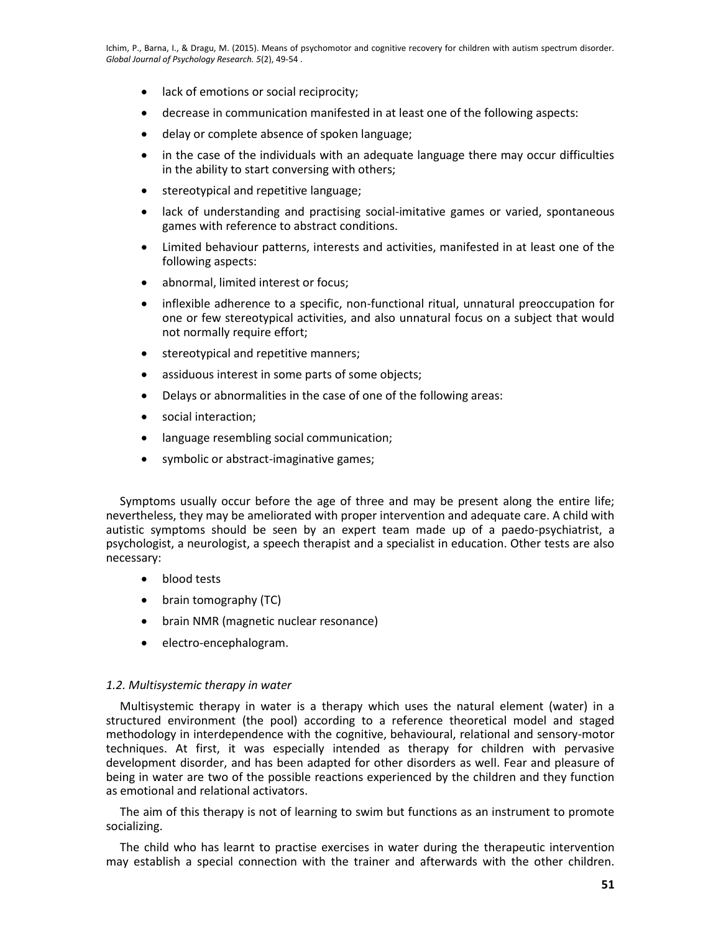- lack of emotions or social reciprocity;
- decrease in communication manifested in at least one of the following aspects:
- delay or complete absence of spoken language;
- in the case of the individuals with an adequate language there may occur difficulties in the ability to start conversing with others;
- stereotypical and repetitive language;
- lack of understanding and practising social-imitative games or varied, spontaneous games with reference to abstract conditions.
- Limited behaviour patterns, interests and activities, manifested in at least one of the following aspects:
- abnormal, limited interest or focus;
- inflexible adherence to a specific, non-functional ritual, unnatural preoccupation for one or few stereotypical activities, and also unnatural focus on a subject that would not normally require effort;
- stereotypical and repetitive manners;
- assiduous interest in some parts of some objects;
- Delays or abnormalities in the case of one of the following areas:
- social interaction;
- language resembling social communication;
- symbolic or abstract-imaginative games;

Symptoms usually occur before the age of three and may be present along the entire life; nevertheless, they may be ameliorated with proper intervention and adequate care. A child with autistic symptoms should be seen by an expert team made up of a paedo-psychiatrist, a psychologist, a neurologist, a speech therapist and a specialist in education. Other tests are also necessary:

- blood tests
- brain tomography (TC)
- brain NMR (magnetic nuclear resonance)
- electro-encephalogram.

#### *1.2. Multisystemic therapy in water*

Multisystemic therapy in water is a therapy which uses the natural element (water) in a structured environment (the pool) according to a reference theoretical model and staged methodology in interdependence with the cognitive, behavioural, relational and sensory-motor techniques. At first, it was especially intended as therapy for children with pervasive development disorder, and has been adapted for other disorders as well. Fear and pleasure of being in water are two of the possible reactions experienced by the children and they function as emotional and relational activators.

The aim of this therapy is not of learning to swim but functions as an instrument to promote socializing.

The child who has learnt to practise exercises in water during the therapeutic intervention may establish a special connection with the trainer and afterwards with the other children.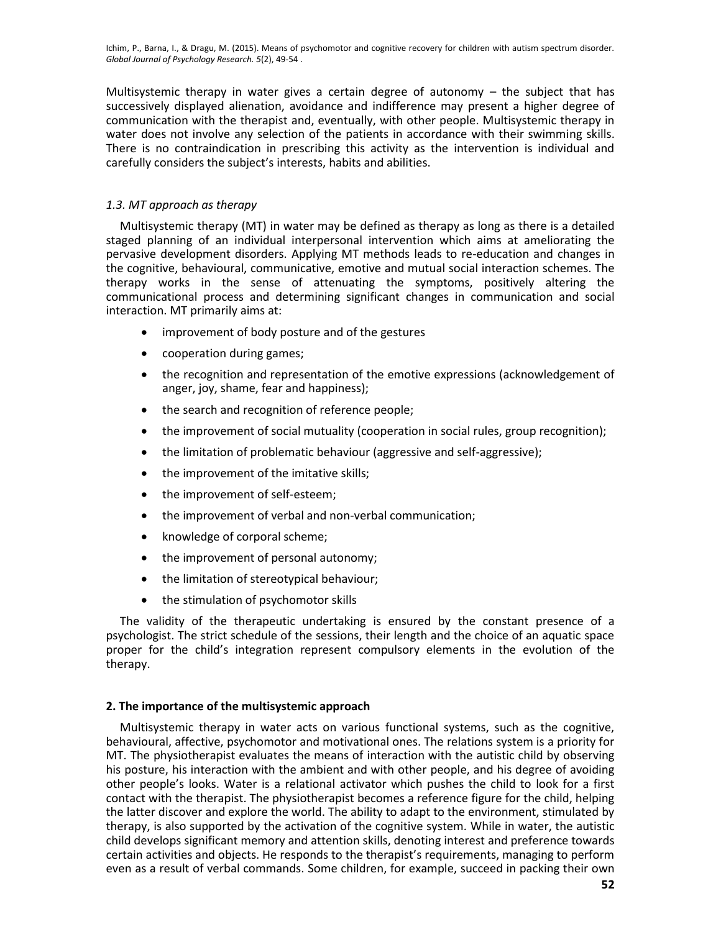Ichim, P., Barna, I., & Dragu, M. (2015). Means of psychomotor and cognitive recovery for children with autism spectrum disorder. *Global Journal of Psychology Research. 5*(2), 49-54 .

Multisystemic therapy in water gives a certain degree of autonomy  $-$  the subject that has successively displayed alienation, avoidance and indifference may present a higher degree of communication with the therapist and, eventually, with other people. Multisystemic therapy in water does not involve any selection of the patients in accordance with their swimming skills. There is no contraindication in prescribing this activity as the intervention is individual and carefully considers the subject's interests, habits and abilities.

# *1.3. MT approach as therapy*

Multisystemic therapy (MT) in water may be defined as therapy as long as there is a detailed staged planning of an individual interpersonal intervention which aims at ameliorating the pervasive development disorders. Applying MT methods leads to re-education and changes in the cognitive, behavioural, communicative, emotive and mutual social interaction schemes. The therapy works in the sense of attenuating the symptoms, positively altering the communicational process and determining significant changes in communication and social interaction. MT primarily aims at:

- improvement of body posture and of the gestures
- cooperation during games;
- the recognition and representation of the emotive expressions (acknowledgement of anger, joy, shame, fear and happiness);
- the search and recognition of reference people;
- the improvement of social mutuality (cooperation in social rules, group recognition);
- the limitation of problematic behaviour (aggressive and self-aggressive);
- the improvement of the imitative skills;
- the improvement of self-esteem;
- the improvement of verbal and non-verbal communication;
- knowledge of corporal scheme;
- the improvement of personal autonomy;
- the limitation of stereotypical behaviour;
- the stimulation of psychomotor skills

The validity of the therapeutic undertaking is ensured by the constant presence of a psychologist. The strict schedule of the sessions, their length and the choice of an aquatic space proper for the child's integration represent compulsory elements in the evolution of the therapy.

#### **2. The importance of the multisystemic approach**

Multisystemic therapy in water acts on various functional systems, such as the cognitive, behavioural, affective, psychomotor and motivational ones. The relations system is a priority for MT. The physiotherapist evaluates the means of interaction with the autistic child by observing his posture, his interaction with the ambient and with other people, and his degree of avoiding other people's looks. Water is a relational activator which pushes the child to look for a first contact with the therapist. The physiotherapist becomes a reference figure for the child, helping the latter discover and explore the world. The ability to adapt to the environment, stimulated by therapy, is also supported by the activation of the cognitive system. While in water, the autistic child develops significant memory and attention skills, denoting interest and preference towards certain activities and objects. He responds to the therapist's requirements, managing to perform even as a result of verbal commands. Some children, for example, succeed in packing their own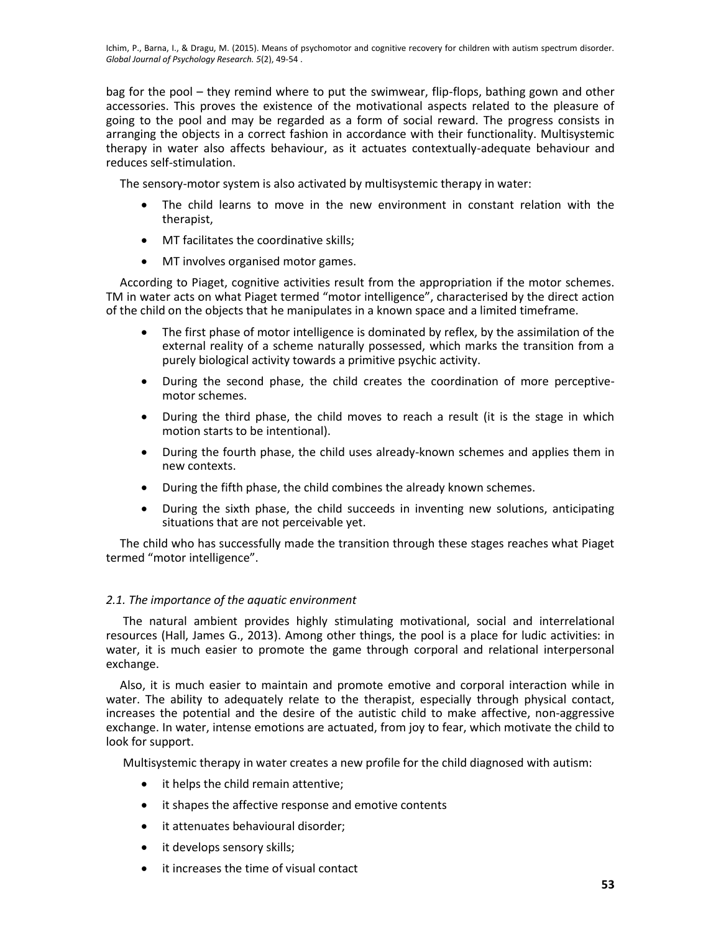Ichim, P., Barna, I., & Dragu, M. (2015). Means of psychomotor and cognitive recovery for children with autism spectrum disorder. *Global Journal of Psychology Research. 5*(2), 49-54 .

bag for the pool – they remind where to put the swimwear, flip-flops, bathing gown and other accessories. This proves the existence of the motivational aspects related to the pleasure of going to the pool and may be regarded as a form of social reward. The progress consists in arranging the objects in a correct fashion in accordance with their functionality. Multisystemic therapy in water also affects behaviour, as it actuates contextually-adequate behaviour and reduces self-stimulation.

The sensory-motor system is also activated by multisystemic therapy in water:

- The child learns to move in the new environment in constant relation with the therapist,
- MT facilitates the coordinative skills;
- MT involves organised motor games.

According to Piaget, cognitive activities result from the appropriation if the motor schemes. TM in water acts on what Piaget termed "motor intelligence", characterised by the direct action of the child on the objects that he manipulates in a known space and a limited timeframe.

- The first phase of motor intelligence is dominated by reflex, by the assimilation of the external reality of a scheme naturally possessed, which marks the transition from a purely biological activity towards a primitive psychic activity.
- During the second phase, the child creates the coordination of more perceptivemotor schemes.
- During the third phase, the child moves to reach a result (it is the stage in which motion starts to be intentional).
- During the fourth phase, the child uses already-known schemes and applies them in new contexts.
- During the fifth phase, the child combines the already known schemes.
- During the sixth phase, the child succeeds in inventing new solutions, anticipating situations that are not perceivable yet.

The child who has successfully made the transition through these stages reaches what Piaget termed "motor intelligence".

#### *2.1. The importance of the aquatic environment*

The natural ambient provides highly stimulating motivational, social and interrelational resources (Hall, James G., 2013). Among other things, the pool is a place for ludic activities: in water, it is much easier to promote the game through corporal and relational interpersonal exchange.

Also, it is much easier to maintain and promote emotive and corporal interaction while in water. The ability to adequately relate to the therapist, especially through physical contact, increases the potential and the desire of the autistic child to make affective, non-aggressive exchange. In water, intense emotions are actuated, from joy to fear, which motivate the child to look for support.

Multisystemic therapy in water creates a new profile for the child diagnosed with autism:

- it helps the child remain attentive;
- it shapes the affective response and emotive contents
- it attenuates behavioural disorder;
- it develops sensory skills;
- it increases the time of visual contact